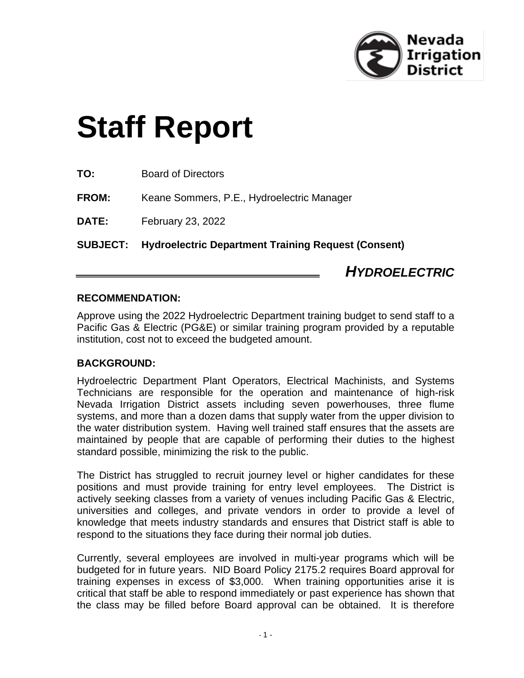

*HYDROELECTRIC*

# **Staff Report**

| <b>SUBJECT:</b> | <b>Hydroelectric Department Training Request (Consent)</b> |
|-----------------|------------------------------------------------------------|
| DATE:           | February 23, 2022                                          |
| <b>FROM:</b>    | Keane Sommers, P.E., Hydroelectric Manager                 |
| TO:             | <b>Board of Directors</b>                                  |

## **RECOMMENDATION:**

Approve using the 2022 Hydroelectric Department training budget to send staff to a Pacific Gas & Electric (PG&E) or similar training program provided by a reputable institution, cost not to exceed the budgeted amount.

#### **BACKGROUND:**

Hydroelectric Department Plant Operators, Electrical Machinists, and Systems Technicians are responsible for the operation and maintenance of high-risk Nevada Irrigation District assets including seven powerhouses, three flume systems, and more than a dozen dams that supply water from the upper division to the water distribution system. Having well trained staff ensures that the assets are maintained by people that are capable of performing their duties to the highest standard possible, minimizing the risk to the public.

The District has struggled to recruit journey level or higher candidates for these positions and must provide training for entry level employees. The District is actively seeking classes from a variety of venues including Pacific Gas & Electric, universities and colleges, and private vendors in order to provide a level of knowledge that meets industry standards and ensures that District staff is able to respond to the situations they face during their normal job duties.

Currently, several employees are involved in multi-year programs which will be budgeted for in future years. NID Board Policy 2175.2 requires Board approval for training expenses in excess of \$3,000. When training opportunities arise it is critical that staff be able to respond immediately or past experience has shown that the class may be filled before Board approval can be obtained. It is therefore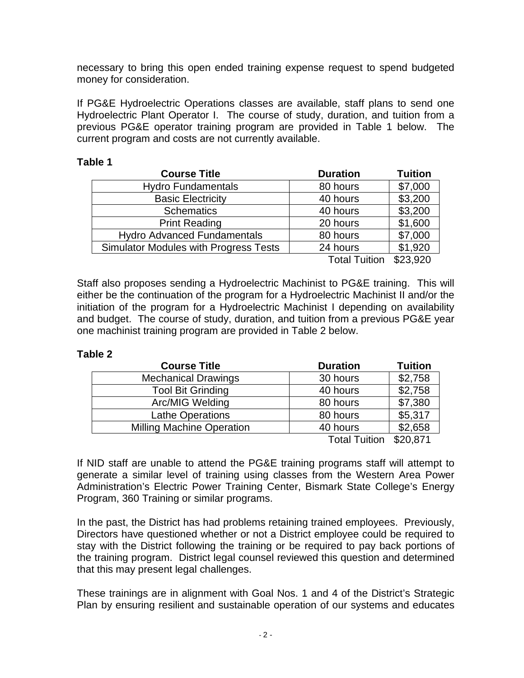necessary to bring this open ended training expense request to spend budgeted money for consideration.

If PG&E Hydroelectric Operations classes are available, staff plans to send one Hydroelectric Plant Operator I. The course of study, duration, and tuition from a previous PG&E operator training program are provided in Table 1 below. The current program and costs are not currently available.

#### **Table 1**

| <b>Course Title</b>                          | <b>Duration</b>      | <b>Tuition</b> |
|----------------------------------------------|----------------------|----------------|
| <b>Hydro Fundamentals</b>                    | 80 hours             | \$7,000        |
| <b>Basic Electricity</b>                     | 40 hours             | \$3,200        |
| <b>Schematics</b>                            | 40 hours             | \$3,200        |
| <b>Print Reading</b>                         | 20 hours             | \$1,600        |
| <b>Hydro Advanced Fundamentals</b>           | 80 hours             | \$7,000        |
| <b>Simulator Modules with Progress Tests</b> | 24 hours             | \$1,920        |
|                                              | <b>Total Tuition</b> | \$23,920       |

Staff also proposes sending a Hydroelectric Machinist to PG&E training. This will either be the continuation of the program for a Hydroelectric Machinist II and/or the initiation of the program for a Hydroelectric Machinist I depending on availability and budget. The course of study, duration, and tuition from a previous PG&E year one machinist training program are provided in Table 2 below.

#### **Table 2**

| <b>Course Title</b>              | <b>Duration</b> | <b>Tuition</b> |
|----------------------------------|-----------------|----------------|
| <b>Mechanical Drawings</b>       | 30 hours        | \$2,758        |
| <b>Tool Bit Grinding</b>         | 40 hours        | \$2,758        |
| Arc/MIG Welding                  | 80 hours        | \$7,380        |
| <b>Lathe Operations</b>          | 80 hours        | \$5,317        |
| <b>Milling Machine Operation</b> | 40 hours        | \$2,658        |
|                                  | アンイントアークビジネット   | max.           |

Total Tuition \$20,871

If NID staff are unable to attend the PG&E training programs staff will attempt to generate a similar level of training using classes from the Western Area Power Administration's Electric Power Training Center, Bismark State College's Energy Program, 360 Training or similar programs.

In the past, the District has had problems retaining trained employees. Previously, Directors have questioned whether or not a District employee could be required to stay with the District following the training or be required to pay back portions of the training program. District legal counsel reviewed this question and determined that this may present legal challenges.

These trainings are in alignment with Goal Nos. 1 and 4 of the District's Strategic Plan by ensuring resilient and sustainable operation of our systems and educates